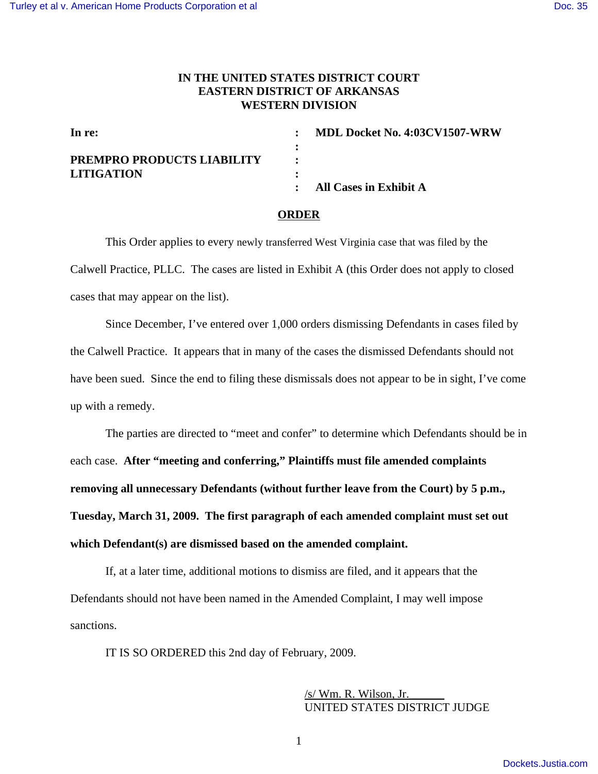## **IN THE UNITED STATES DISTRICT COURT EASTERN DISTRICT OF ARKANSAS WESTERN DIVISION**

| In re:                     | : MDL Docket No. 4:03CV1507-WRW |
|----------------------------|---------------------------------|
|                            |                                 |
| PREMPRO PRODUCTS LIABILITY |                                 |
| <b>LITIGATION</b>          |                                 |
|                            | : All Cases in Exhibit A        |

## **ORDER**

This Order applies to every newly transferred West Virginia case that was filed by the Calwell Practice, PLLC. The cases are listed in Exhibit A (this Order does not apply to closed cases that may appear on the list).

Since December, I've entered over 1,000 orders dismissing Defendants in cases filed by the Calwell Practice. It appears that in many of the cases the dismissed Defendants should not have been sued. Since the end to filing these dismissals does not appear to be in sight, I've come up with a remedy.

The parties are directed to "meet and confer" to determine which Defendants should be in each case. **After "meeting and conferring," Plaintiffs must file amended complaints removing all unnecessary Defendants (without further leave from the Court) by 5 p.m., Tuesday, March 31, 2009. The first paragraph of each amended complaint must set out which Defendant(s) are dismissed based on the amended complaint.**

If, at a later time, additional motions to dismiss are filed, and it appears that the Defendants should not have been named in the Amended Complaint, I may well impose sanctions.

IT IS SO ORDERED this 2nd day of February, 2009.

 $/s$ / Wm. R. Wilson, Jr. UNITED STATES DISTRICT JUDGE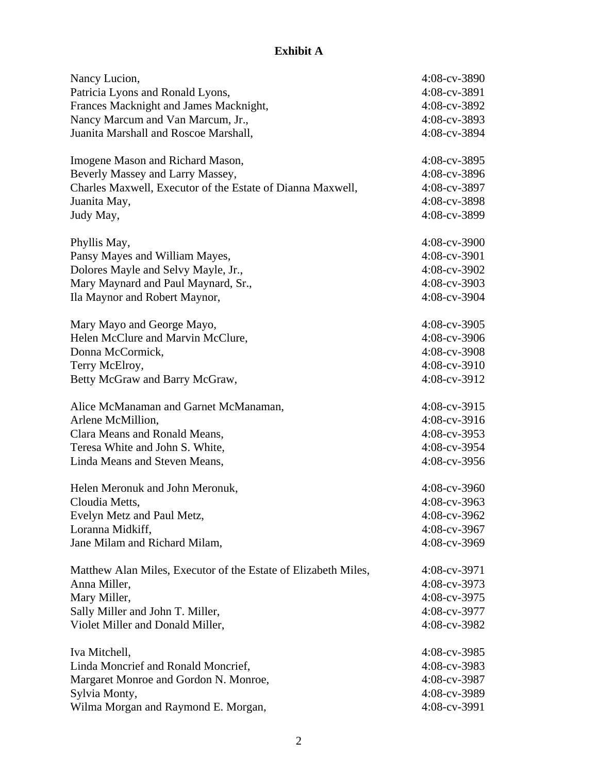## **Exhibit A**

| Nancy Lucion,                                                  | $4:08$ -cv-3890 |
|----------------------------------------------------------------|-----------------|
| Patricia Lyons and Ronald Lyons,                               | 4:08-cv-3891    |
| Frances Macknight and James Macknight,                         | 4:08-cv-3892    |
| Nancy Marcum and Van Marcum, Jr.,                              | 4:08-cv-3893    |
| Juanita Marshall and Roscoe Marshall,                          | 4:08-cv-3894    |
| Imogene Mason and Richard Mason,                               | 4:08-cv-3895    |
| Beverly Massey and Larry Massey,                               | 4:08-cv-3896    |
| Charles Maxwell, Executor of the Estate of Dianna Maxwell,     | 4:08-cv-3897    |
| Juanita May,                                                   | 4:08-cv-3898    |
| Judy May,                                                      | 4:08-cv-3899    |
| Phyllis May,                                                   | $4:08$ -cv-3900 |
| Pansy Mayes and William Mayes,                                 | 4:08-cv-3901    |
| Dolores Mayle and Selvy Mayle, Jr.,                            | 4:08-cv-3902    |
| Mary Maynard and Paul Maynard, Sr.,                            | $4:08$ -cv-3903 |
| Ila Maynor and Robert Maynor,                                  | 4:08-cv-3904    |
| Mary Mayo and George Mayo,                                     | $4:08$ -cv-3905 |
| Helen McClure and Marvin McClure,                              | 4:08-cv-3906    |
| Donna McCormick,                                               | 4:08-cv-3908    |
| Terry McElroy,                                                 | 4:08-cv-3910    |
| Betty McGraw and Barry McGraw,                                 | 4:08-cv-3912    |
| Alice McManaman and Garnet McManaman,                          | 4:08-cv-3915    |
| Arlene McMillion,                                              | 4:08-cv-3916    |
|                                                                | 4:08-cv-3953    |
| Clara Means and Ronald Means,                                  | 4:08-cv-3954    |
| Teresa White and John S. White,                                |                 |
| Linda Means and Steven Means,                                  | 4:08-cv-3956    |
| Helen Meronuk and John Meronuk,                                | $4:08$ -cv-3960 |
| Cloudia Metts,                                                 | $4:08$ -cv-3963 |
| Evelyn Metz and Paul Metz,                                     | 4:08-cv-3962    |
| Loranna Midkiff,                                               | 4:08-cv-3967    |
| Jane Milam and Richard Milam,                                  | 4:08-cv-3969    |
| Matthew Alan Miles, Executor of the Estate of Elizabeth Miles, | 4:08-cv-3971    |
| Anna Miller,                                                   | 4:08-cv-3973    |
| Mary Miller,                                                   | 4:08-cv-3975    |
| Sally Miller and John T. Miller,                               | 4:08-cv-3977    |
| Violet Miller and Donald Miller,                               | 4:08-cv-3982    |
| Iva Mitchell,                                                  | 4:08-cv-3985    |
| Linda Moncrief and Ronald Moncrief,                            | 4:08-cv-3983    |
| Margaret Monroe and Gordon N. Monroe,                          | 4:08-cv-3987    |
| Sylvia Monty,                                                  | 4:08-cv-3989    |
| Wilma Morgan and Raymond E. Morgan,                            | 4:08-cv-3991    |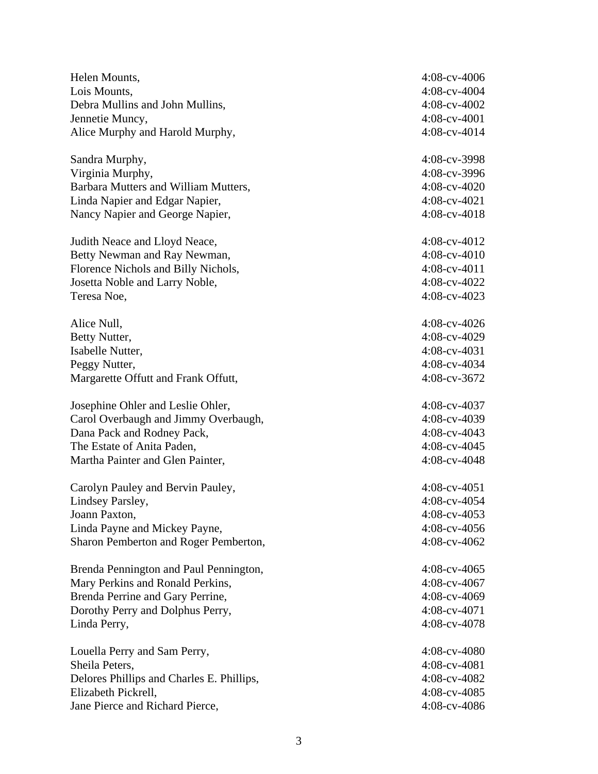| Helen Mounts,                             | $4:08$ -cv- $4006$ |
|-------------------------------------------|--------------------|
| Lois Mounts,                              | 4:08-cv-4004       |
| Debra Mullins and John Mullins,           | 4:08-cv-4002       |
| Jennetie Muncy,                           | 4:08-cv-4001       |
| Alice Murphy and Harold Murphy,           | 4:08-cv-4014       |
| Sandra Murphy,                            | 4:08-cv-3998       |
| Virginia Murphy,                          | 4:08-cv-3996       |
| Barbara Mutters and William Mutters,      | $4:08$ -cv- $4020$ |
| Linda Napier and Edgar Napier,            | 4:08-cv-4021       |
| Nancy Napier and George Napier,           | 4:08-cv-4018       |
| Judith Neace and Lloyd Neace,             | $4:08$ -cv- $4012$ |
| Betty Newman and Ray Newman,              | 4:08-cv-4010       |
| Florence Nichols and Billy Nichols,       | 4:08-cv-4011       |
| Josetta Noble and Larry Noble,            | $4:08$ -cv- $4022$ |
| Teresa Noe,                               | 4:08-cv-4023       |
| Alice Null,                               | 4:08-cv-4026       |
| Betty Nutter,                             | 4:08-cv-4029       |
| Isabelle Nutter,                          | $4:08$ -cv-4031    |
| Peggy Nutter,                             | 4:08-cv-4034       |
| Margarette Offutt and Frank Offutt,       | 4:08-cv-3672       |
| Josephine Ohler and Leslie Ohler,         | 4:08-cv-4037       |
| Carol Overbaugh and Jimmy Overbaugh,      | 4:08-cv-4039       |
| Dana Pack and Rodney Pack,                | $4:08$ -cv-4043    |
| The Estate of Anita Paden,                | 4:08-cv-4045       |
| Martha Painter and Glen Painter,          | 4:08-cv-4048       |
| Carolyn Pauley and Bervin Pauley,         | $4:08$ -cv- $4051$ |
| Lindsey Parsley,                          | 4:08-cv-4054       |
| Joann Paxton,                             | $4:08$ -cv- $4053$ |
| Linda Payne and Mickey Payne,             | 4:08-cv-4056       |
| Sharon Pemberton and Roger Pemberton,     | 4:08-cv-4062       |
| Brenda Pennington and Paul Pennington,    | $4:08$ -cv-4065    |
| Mary Perkins and Ronald Perkins,          | $4:08$ -cv- $4067$ |
| Brenda Perrine and Gary Perrine,          | 4:08-cv-4069       |
| Dorothy Perry and Dolphus Perry,          | $4:08$ -cv- $4071$ |
| Linda Perry,                              | 4:08-cv-4078       |
| Louella Perry and Sam Perry,              | $4:08$ -cv- $4080$ |
| Sheila Peters,                            | $4:08$ -cv-4081    |
| Delores Phillips and Charles E. Phillips, | 4:08-cv-4082       |
| Elizabeth Pickrell,                       | $4:08$ -cv-4085    |
| Jane Pierce and Richard Pierce,           | 4:08-cv-4086       |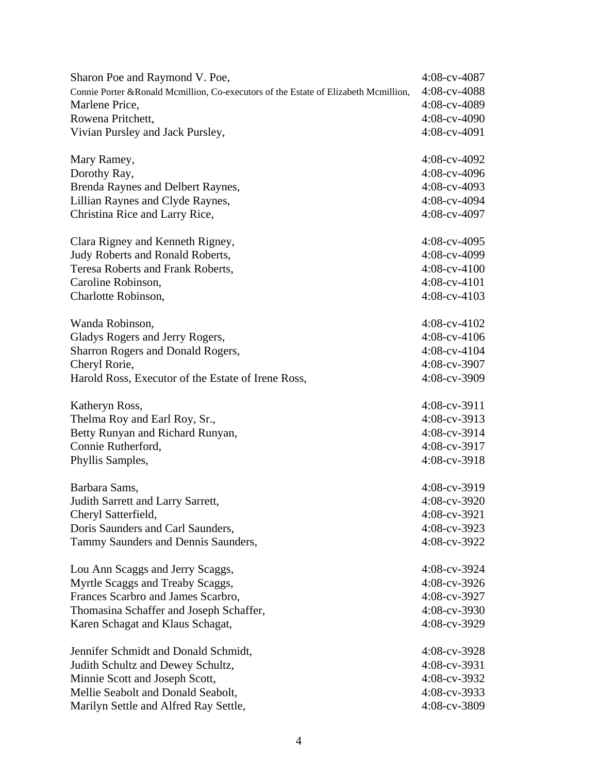| Sharon Poe and Raymond V. Poe,                                                       | 4:08-cv-4087       |
|--------------------------------------------------------------------------------------|--------------------|
| Connie Porter & Ronald Mcmillion, Co-executors of the Estate of Elizabeth Mcmillion, | 4:08-cv-4088       |
| Marlene Price,                                                                       | 4:08-cv-4089       |
| Rowena Pritchett,                                                                    | $4:08$ -cv-4090    |
| Vivian Pursley and Jack Pursley,                                                     | 4:08-cv-4091       |
| Mary Ramey,                                                                          | $4:08$ -cv-4092    |
| Dorothy Ray,                                                                         | 4:08-cv-4096       |
| Brenda Raynes and Delbert Raynes,                                                    | 4:08-cv-4093       |
| Lillian Raynes and Clyde Raynes,                                                     | 4:08-cv-4094       |
| Christina Rice and Larry Rice,                                                       | 4:08-cv-4097       |
| Clara Rigney and Kenneth Rigney,                                                     | $4:08$ -cv-4095    |
| Judy Roberts and Ronald Roberts,                                                     | 4:08-cv-4099       |
| Teresa Roberts and Frank Roberts,                                                    | $4:08$ -cv- $4100$ |
| Caroline Robinson,                                                                   | $4:08$ -cv-4101    |
| Charlotte Robinson,                                                                  | $4:08$ -cv- $4103$ |
| Wanda Robinson,                                                                      | $4:08$ -cv-4102    |
| Gladys Rogers and Jerry Rogers,                                                      | $4:08$ -cv-4106    |
| Sharron Rogers and Donald Rogers,                                                    | $4:08$ -cv-4104    |
| Cheryl Rorie,                                                                        | 4:08-cv-3907       |
| Harold Ross, Executor of the Estate of Irene Ross,                                   | 4:08-cv-3909       |
| Katheryn Ross,                                                                       | $4:08$ -cv-3911    |
| Thelma Roy and Earl Roy, Sr.,                                                        | $4:08$ -cv-3913    |
| Betty Runyan and Richard Runyan,                                                     | 4:08-cv-3914       |
| Connie Rutherford,                                                                   | 4:08-cv-3917       |
| Phyllis Samples,                                                                     | 4:08-cv-3918       |
| Barbara Sams,                                                                        | 4:08-cv-3919       |
| Judith Sarrett and Larry Sarrett,                                                    | 4:08-cv-3920       |
| Cheryl Satterfield,                                                                  | 4:08-cv-3921       |
| Doris Saunders and Carl Saunders,                                                    | 4:08-cv-3923       |
| Tammy Saunders and Dennis Saunders,                                                  | 4:08-cv-3922       |
| Lou Ann Scaggs and Jerry Scaggs,                                                     | 4:08-cv-3924       |
| Myrtle Scaggs and Treaby Scaggs,                                                     | 4:08-cv-3926       |
| Frances Scarbro and James Scarbro,                                                   | 4:08-cv-3927       |
| Thomasina Schaffer and Joseph Schaffer,                                              | 4:08-cv-3930       |
| Karen Schagat and Klaus Schagat,                                                     | 4:08-cv-3929       |
| Jennifer Schmidt and Donald Schmidt,                                                 | 4:08-cv-3928       |
| Judith Schultz and Dewey Schultz,                                                    | 4:08-cv-3931       |
| Minnie Scott and Joseph Scott,                                                       | 4:08-cv-3932       |
| Mellie Seabolt and Donald Seabolt,                                                   | 4:08-cv-3933       |
| Marilyn Settle and Alfred Ray Settle,                                                | 4:08-cv-3809       |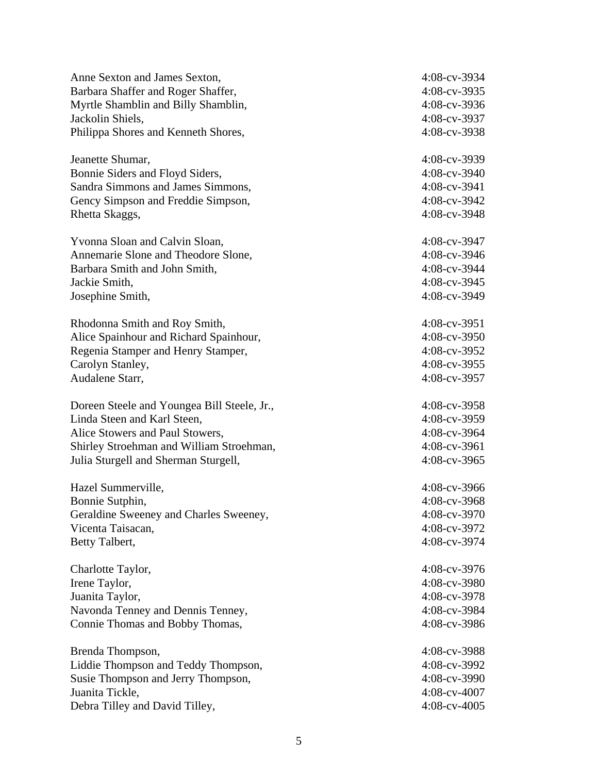| Anne Sexton and James Sexton,               | 4:08-cv-3934    |
|---------------------------------------------|-----------------|
| Barbara Shaffer and Roger Shaffer,          | 4:08-cv-3935    |
| Myrtle Shamblin and Billy Shamblin,         | 4:08-cv-3936    |
| Jackolin Shiels,                            | 4:08-cv-3937    |
| Philippa Shores and Kenneth Shores,         | 4:08-cv-3938    |
| Jeanette Shumar,                            | 4:08-cv-3939    |
| Bonnie Siders and Floyd Siders,             | 4:08-cv-3940    |
| Sandra Simmons and James Simmons,           | 4:08-cv-3941    |
| Gency Simpson and Freddie Simpson,          | 4:08-cv-3942    |
| Rhetta Skaggs,                              | 4:08-cv-3948    |
| Yvonna Sloan and Calvin Sloan,              | 4:08-cv-3947    |
| Annemarie Slone and Theodore Slone,         | 4:08-cv-3946    |
| Barbara Smith and John Smith,               | 4:08-cv-3944    |
| Jackie Smith,                               | 4:08-cv-3945    |
| Josephine Smith,                            | 4:08-cv-3949    |
| Rhodonna Smith and Roy Smith,               | $4:08$ -cv-3951 |
| Alice Spainhour and Richard Spainhour,      | 4:08-cv-3950    |
| Regenia Stamper and Henry Stamper,          | 4:08-cv-3952    |
| Carolyn Stanley,                            | 4:08-cv-3955    |
| Audalene Starr,                             | 4:08-cv-3957    |
| Doreen Steele and Youngea Bill Steele, Jr., | $4:08$ -cv-3958 |
| Linda Steen and Karl Steen,                 | 4:08-cv-3959    |
| Alice Stowers and Paul Stowers,             | 4:08-cv-3964    |
| Shirley Stroehman and William Stroehman,    | 4:08-cv-3961    |
| Julia Sturgell and Sherman Sturgell,        | 4:08-cv-3965    |
| Hazel Summerville,                          | 4:08-cv-3966    |
| Bonnie Sutphin,                             | 4:08-cv-3968    |
| Geraldine Sweeney and Charles Sweeney,      | 4:08-cv-3970    |
| Vicenta Taisacan,                           | 4:08-cv-3972    |
| Betty Talbert,                              | 4:08-cv-3974    |
| Charlotte Taylor,                           | 4:08-cv-3976    |
| Irene Taylor,                               | 4:08-cv-3980    |
| Juanita Taylor,                             | 4:08-cv-3978    |
| Navonda Tenney and Dennis Tenney,           | 4:08-cv-3984    |
| Connie Thomas and Bobby Thomas,             | 4:08-cv-3986    |
| Brenda Thompson,                            | 4:08-cv-3988    |
| Liddie Thompson and Teddy Thompson,         | 4:08-cv-3992    |
| Susie Thompson and Jerry Thompson,          | 4:08-cv-3990    |
| Juanita Tickle,                             | 4:08-cv-4007    |
| Debra Tilley and David Tilley,              | $4:08$ -cv-4005 |